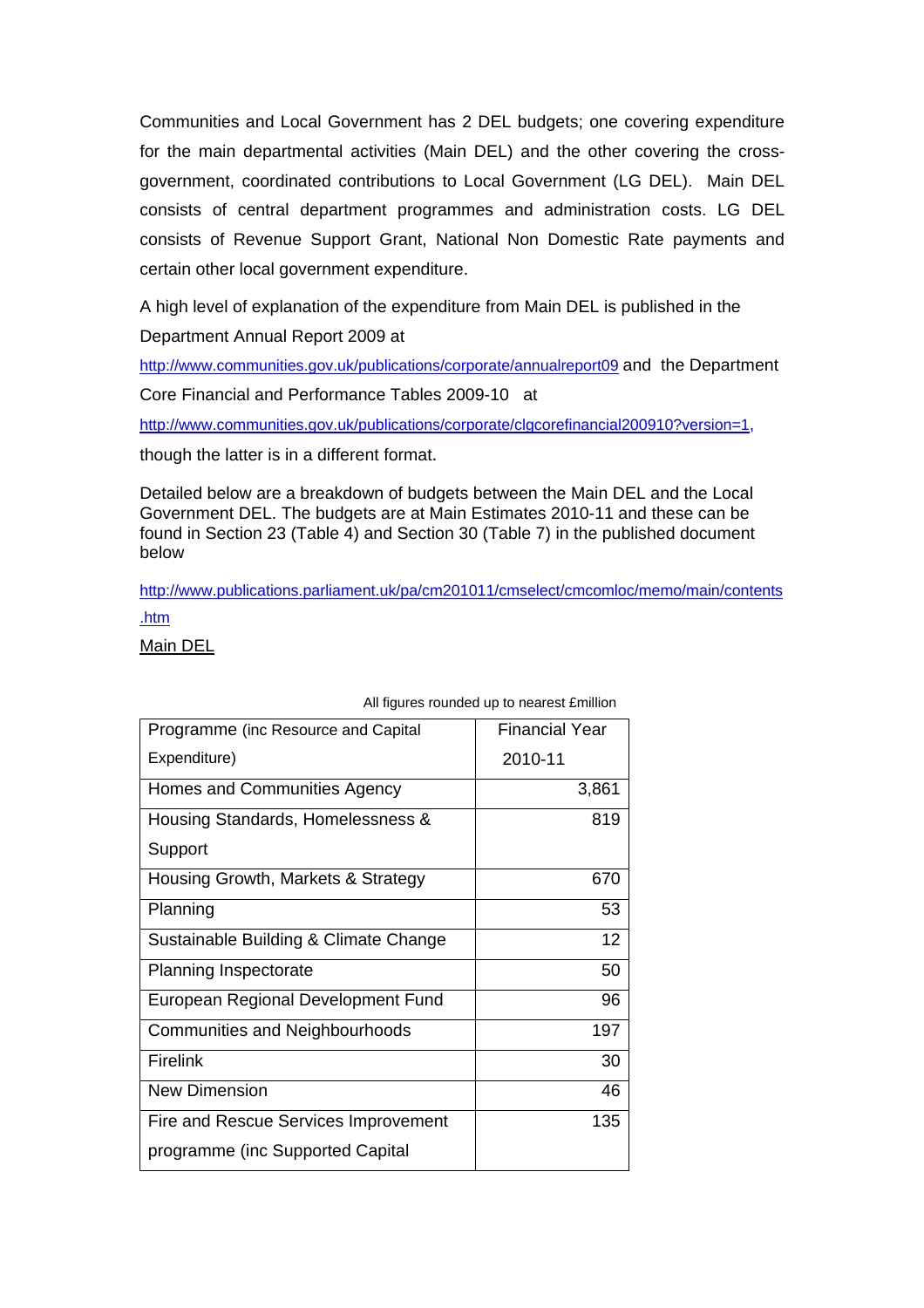Communities and Local Government has 2 DEL budgets; one covering expenditure for the main departmental activities (Main DEL) and the other covering the crossgovernment, coordinated contributions to Local Government (LG DEL). Main DEL consists of central department programmes and administration costs. LG DEL consists of Revenue Support Grant, National Non Domestic Rate payments and certain other local government expenditure.

A high level of explanation of the expenditure from Main DEL is published in the

Department Annual Report 2009 at

<http://www.communities.gov.uk/publications/corporate/annualreport09> and the Department

Core Financial and Performance Tables 2009-10 at

[http://www.communities.gov.uk/publications/corporate/clgcorefinancial200910?version=1,](http://www.communities.gov.uk/publications/corporate/clgcorefinancial200910?version=1)

though the latter is in a different format.

Detailed below are a breakdown of budgets between the Main DEL and the Local Government DEL. The budgets are at Main Estimates 2010-11 and these can be found in Section 23 (Table 4) and Section 30 (Table 7) in the published document below

[http://www.publications.parliament.uk/pa/cm201011/cmselect/cmcomloc/memo/main/contents](http://www.publications.parliament.uk/pa/cm201011/cmselect/cmcomloc/memo/main/contents.htm) [.htm](http://www.publications.parliament.uk/pa/cm201011/cmselect/cmcomloc/memo/main/contents.htm)

Main DEL

| Programme (inc Resource and Capital   | <b>Financial Year</b> |
|---------------------------------------|-----------------------|
| Expenditure)                          | 2010-11               |
| Homes and Communities Agency          | 3,861                 |
| Housing Standards, Homelessness &     | 819                   |
| Support                               |                       |
| Housing Growth, Markets & Strategy    | 670                   |
| Planning                              | 53                    |
| Sustainable Building & Climate Change | 12                    |
| Planning Inspectorate                 | 50                    |
| European Regional Development Fund    | 96                    |
| <b>Communities and Neighbourhoods</b> | 197                   |
| <b>Firelink</b>                       | 30                    |
| <b>New Dimension</b>                  | 46                    |
| Fire and Rescue Services Improvement  | 135                   |
| programme (inc Supported Capital      |                       |

## All figures rounded up to nearest £million